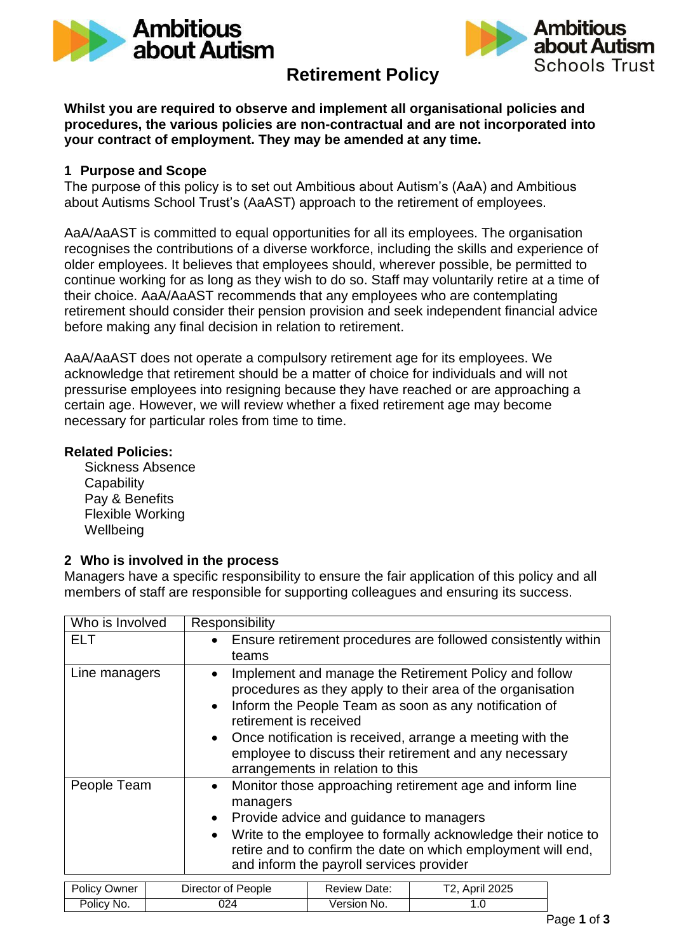



# **Retirement Policy**

**Whilst you are required to observe and implement all organisational policies and procedures, the various policies are non-contractual and are not incorporated into your contract of employment. They may be amended at any time.**

### **1 Purpose and Scope**

The purpose of this policy is to set out Ambitious about Autism's (AaA) and Ambitious about Autisms School Trust's (AaAST) approach to the retirement of employees.

AaA/AaAST is committed to equal opportunities for all its employees. The organisation recognises the contributions of a diverse workforce, including the skills and experience of older employees. It believes that employees should, wherever possible, be permitted to continue working for as long as they wish to do so. Staff may voluntarily retire at a time of their choice. AaA/AaAST recommends that any employees who are contemplating retirement should consider their pension provision and seek independent financial advice before making any final decision in relation to retirement.

AaA/AaAST does not operate a compulsory retirement age for its employees. We acknowledge that retirement should be a matter of choice for individuals and will not pressurise employees into resigning because they have reached or are approaching a certain age. However, we will review whether a fixed retirement age may become necessary for particular roles from time to time.

#### **Related Policies:**

Sickness Absence **Capability** Pay & Benefits Flexible Working **Wellbeing** 

### **2 Who is involved in the process**

Managers have a specific responsibility to ensure the fair application of this policy and all members of staff are responsible for supporting colleagues and ensuring its success.

| Who is Involved |  | Responsibility                                                                                                                                                                                                                                                                                                                                                                                           |                     |                |  |  |
|-----------------|--|----------------------------------------------------------------------------------------------------------------------------------------------------------------------------------------------------------------------------------------------------------------------------------------------------------------------------------------------------------------------------------------------------------|---------------------|----------------|--|--|
| <b>ELT</b>      |  | Ensure retirement procedures are followed consistently within<br>$\bullet$<br>teams                                                                                                                                                                                                                                                                                                                      |                     |                |  |  |
| Line managers   |  | Implement and manage the Retirement Policy and follow<br>$\bullet$<br>procedures as they apply to their area of the organisation<br>Inform the People Team as soon as any notification of<br>$\bullet$<br>retirement is received<br>Once notification is received, arrange a meeting with the<br>$\bullet$<br>employee to discuss their retirement and any necessary<br>arrangements in relation to this |                     |                |  |  |
| People Team     |  | Monitor those approaching retirement age and inform line<br>$\bullet$<br>managers<br>Provide advice and guidance to managers<br>$\bullet$<br>Write to the employee to formally acknowledge their notice to<br>$\bullet$<br>retire and to confirm the date on which employment will end,<br>and inform the payroll services provider                                                                      |                     |                |  |  |
| Policy Owner    |  | Director of People                                                                                                                                                                                                                                                                                                                                                                                       | <b>Review Date:</b> | T2, April 2025 |  |  |
| Policy No.      |  | 024                                                                                                                                                                                                                                                                                                                                                                                                      | Version No.         | 1.0            |  |  |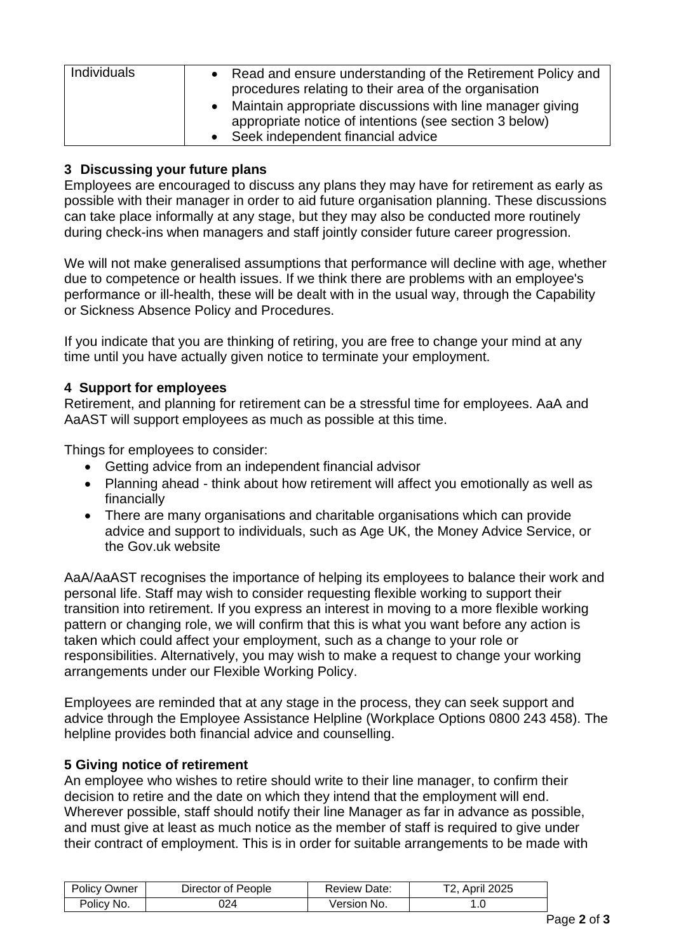| Individuals | • Read and ensure understanding of the Retirement Policy and<br>procedures relating to their area of the organisation |
|-------------|-----------------------------------------------------------------------------------------------------------------------|
|             | • Maintain appropriate discussions with line manager giving<br>appropriate notice of intentions (see section 3 below) |
|             | Seek independent financial advice<br>$\bullet$                                                                        |

## **3 Discussing your future plans**

Employees are encouraged to discuss any plans they may have for retirement as early as possible with their manager in order to aid future organisation planning. These discussions can take place informally at any stage, but they may also be conducted more routinely during check-ins when managers and staff jointly consider future career progression.

We will not make generalised assumptions that performance will decline with age, whether due to competence or health issues. If we think there are problems with an employee's performance or ill-health, these will be dealt with in the usual way, through the Capability or Sickness Absence Policy and Procedures.

If you indicate that you are thinking of retiring, you are free to change your mind at any time until you have actually given notice to terminate your employment.

## **4 Support for employees**

Retirement, and planning for retirement can be a stressful time for employees. AaA and AaAST will support employees as much as possible at this time.

Things for employees to consider:

- Getting advice from an independent financial advisor
- Planning ahead think about how retirement will affect you emotionally as well as financially
- There are many organisations and charitable organisations which can provide advice and support to individuals, such as Age UK, the Money Advice Service, or the Gov.uk website

AaA/AaAST recognises the importance of helping its employees to balance their work and personal life. Staff may wish to consider requesting flexible working to support their transition into retirement. If you express an interest in moving to a more flexible working pattern or changing role, we will confirm that this is what you want before any action is taken which could affect your employment, such as a change to your role or responsibilities. Alternatively, you may wish to make a request to change your working arrangements under our Flexible Working Policy.

Employees are reminded that at any stage in the process, they can seek support and advice through the Employee Assistance Helpline (Workplace Options 0800 243 458). The helpline provides both financial advice and counselling.

## **5 Giving notice of retirement**

An employee who wishes to retire should write to their line manager, to confirm their decision to retire and the date on which they intend that the employment will end. Wherever possible, staff should notify their line Manager as far in advance as possible, and must give at least as much notice as the member of staff is required to give under their contract of employment. This is in order for suitable arrangements to be made with

| <b>Policy Owner</b> | Director of People | <b>Review Date:</b> | T2, April 2025 |
|---------------------|--------------------|---------------------|----------------|
| Policy No.          | 024                | Version No.         |                |